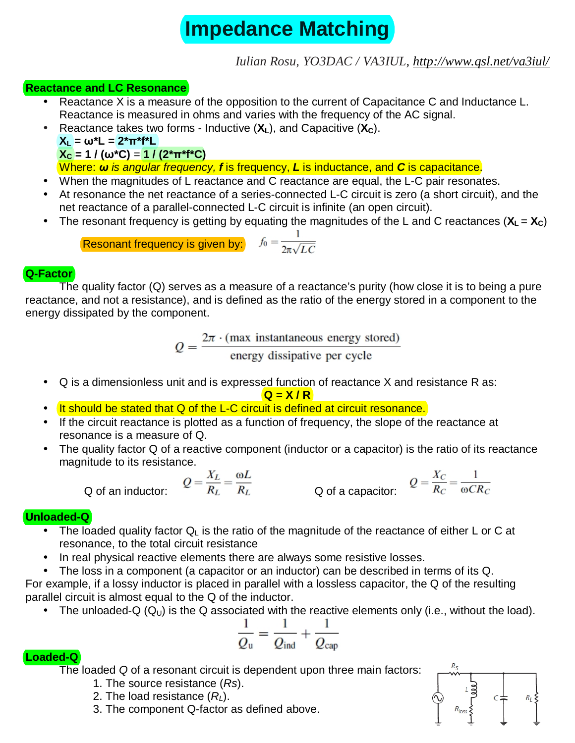# **Impedance Matching**

 *Iulian Rosu, YO3DAC / VA3IUL, <http://www.qsl.net/va3iul/>*

## **Reactance and LC Resonance**

- Reactance X is a measure of the opposition to the current of Capacitance C and Inductance L. Reactance is measured in ohms and varies with the frequency of the AC signal.
- Reactance takes two forms Inductive (**XL**), and Capacitive (**XC**).  $X_L = ω^*L = 2^*π^*f^*L$  $X_c = 1 / (\omega^*C) = 1 / (2^*π^*f^*C)$ Where: *ω is angular frequency, f* is frequency, *L* is inductance, and *C* is capacitance.
- When the magnitudes of L reactance and C reactance are equal, the L-C pair resonates.
- At resonance the net reactance of a series-connected L-C circuit is zero (a short circuit), and the net reactance of a parallel-connected L-C circuit is infinite (an open circuit).
- The resonant frequency is getting by equating the magnitudes of the L and C reactances  $(X_L = X_C)$

Resonant frequency is given by: 
$$
f_0 = \frac{1}{2\pi\sqrt{LC}}
$$

## **Q-Factor**

The quality factor (Q) serves as a measure of a reactance's purity (how close it is to being a pure reactance, and not a resistance), and is defined as the ratio of the energy stored in a component to the energy dissipated by the component.

 $Q = \frac{2\pi \cdot (max \text{ instantaneous energy stored})}{energy \text{ dissipative per cycle}}$ 

• Q is a dimensionless unit and is expressed function of reactance X and resistance R as:

$$
Q = X/R
$$

- It should be stated that Q of the L-C circuit is defined at circuit resonance.
- If the circuit reactance is plotted as a function of frequency, the slope of the reactance at resonance is a measure of Q.
- The quality factor Q of a reactive component (inductor or a capacitor) is the ratio of its reactance magnitude to its resistance.

Q of an inductor: 
$$
Q = \frac{X_L}{R_L} = \frac{\omega L}{R_L}
$$
 Q of a capacitor:  $Q = \frac{X_C}{R_C} = \frac{1}{\omega C R_C}$ 

## **Unloaded-Q**

- The loaded quality factor  $Q_L$  is the ratio of the magnitude of the reactance of either L or C at resonance, to the total circuit resistance
- In real physical reactive elements there are always some resistive losses.
- The loss in a component (a capacitor or an inductor) can be described in terms of its Q.

For example, if a lossy inductor is placed in parallel with a lossless capacitor, the Q of the resulting parallel circuit is almost equal to the Q of the inductor.

• The unloaded-Q  $(Q_U)$  is the Q associated with the reactive elements only (i.e., without the load).

$$
\frac{1}{Q_{\rm u}} = \frac{1}{Q_{\rm ind}} + \frac{1}{Q_{\rm cap}}
$$

## **Loaded-Q**

The loaded *Q* of a resonant circuit is dependent upon three main factors:

- 1. The source resistance (*Rs*).
- 2. The load resistance (*RL*).
- 3. The component Q-factor as defined above.

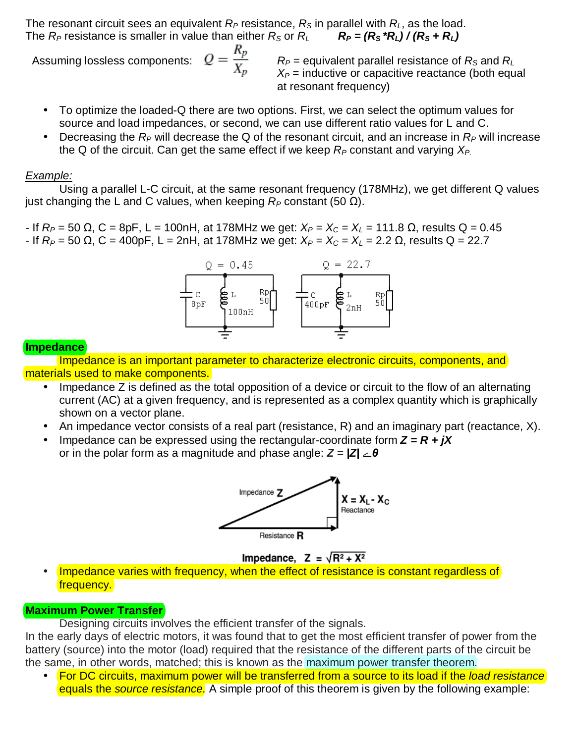The resonant circuit sees an equivalent  $R_P$  resistance,  $R_S$  in parallel with  $R_L$ , as the load. The *R<sub>P</sub>* resistance is smaller in value than either  $R_S$  or  $R_L$   $\qquad R_P = (R_S * R_L) / (R_S + R_L)$ 

Assuming lossless components:  $Q = \frac{R_p}{Y}$ 

*R<sup>P</sup>* = equivalent parallel resistance of *R<sup>S</sup>* and *R<sup>L</sup>*  $X_P$  = inductive or capacitive reactance (both equal at resonant frequency)

- To optimize the loaded-Q there are two options. First, we can select the optimum values for source and load impedances, or second, we can use different ratio values for L and C.
- Decreasing the  $R_P$  will decrease the Q of the resonant circuit, and an increase in  $R_P$  will increase the Q of the circuit. Can get the same effect if we keep *R<sup>P</sup>* constant and varying *XP.*

#### *Example:*

Using a parallel L-C circuit, at the same resonant frequency (178MHz), we get different Q values just changing the L and C values, when keeping  $R_P$  constant (50 Ω).

- If *R<sup>P</sup>* = 50 Ω, C = 8pF, L = 100nH, at 178MHz we get: *X<sup>P</sup> = X<sup>C</sup> = X<sup>L</sup>* = 111.8 Ω, results Q = 0.45

- If *R<sup>P</sup>* = 50 Ω, C = 400pF, L = 2nH, at 178MHz we get: *X<sup>P</sup> = X<sup>C</sup> = X<sup>L</sup>* = 2.2 Ω, results Q = 22.7



#### **Impedance**

Impedance is an important parameter to characterize electronic circuits, components, and materials used to make components.

- Impedance Z is defined as the total opposition of a device or circuit to the flow of an alternating current (AC) at a given frequency, and is represented as a complex quantity which is graphically shown on a vector plane.
- An impedance vector consists of a real part (resistance, R) and an imaginary part (reactance, X).
- Impedance can be expressed using the rectangular-coordinate form  $Z = R + iX$ or in the polar form as a magnitude and phase angle: *Z = |Z|* ے*θ*



Impedance,  $Z = \sqrt{R^2 + X^2}$ 

• Impedance varies with frequency, when the effect of resistance is constant regardless of frequency.

## **Maximum Power Transfer**

Designing circuits involves the efficient transfer of the signals.

In the early days of electric motors, it was found that to get the most efficient transfer of power from the battery (source) into the motor (load) required that the resistance of the different parts of the circuit be the same, in other words, matched; this is known as the maximum power transfer theorem.

• For DC circuits, maximum power will be transferred from a source to its load if the *load resistance*  equals the *source resistance.* A simple proof of this theorem is given by the following example: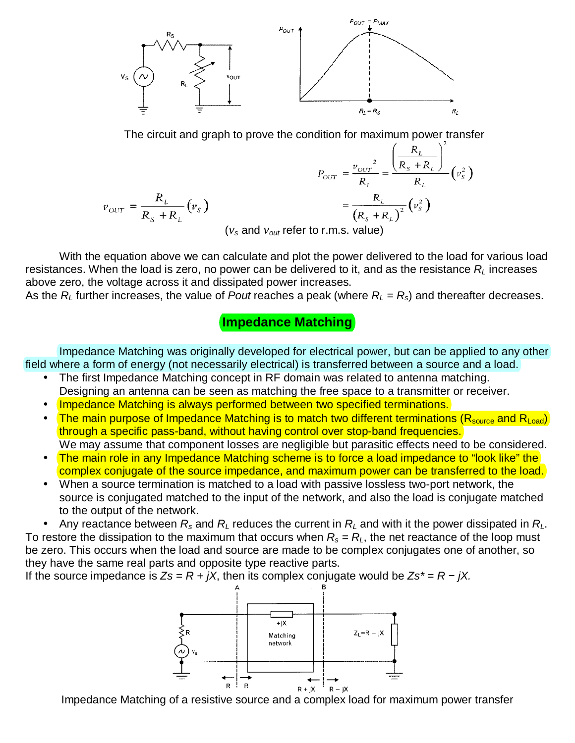

The circuit and graph to prove the condition for maximum power transfer

$$
v_{OUT} = \frac{R_L}{R_s + R_L} \left(v_s\right)
$$
\n
$$
v_{OUT} = \frac{R_L}{R_s + R_L} \left(v_s\right)
$$
\n
$$
= \frac{R_L}{\left(R_s + R_L\right)^2} \left(v_s^2\right)
$$

(*v<sup>s</sup>* and *vout* refer to r.m.s. value)

With the equation above we can calculate and plot the power delivered to the load for various load resistances. When the load is zero, no power can be delivered to it, and as the resistance  $R<sub>l</sub>$  increases above zero, the voltage across it and dissipated power increases.

As the  $R_L$  further increases, the value of *Pout* reaches a peak (where  $R_L = R_s$ ) and thereafter decreases.

## **Impedance Matching**

Impedance Matching was originally developed for electrical power, but can be applied to any other field where a form of energy (not necessarily electrical) is transferred between a source and a load.

- The first Impedance Matching concept in RF domain was related to antenna matching. Designing an antenna can be seen as matching the free space to a transmitter or receiver.
- Impedance Matching is always performed between two specified terminations.
- The main purpose of Impedance Matching is to match two different terminations ( $R_{source}$  and  $R_{load}$ ) through a specific pass-band, without having control over stop-band frequencies. We may assume that component losses are negligible but parasitic effects need to be considered.
- The main role in any Impedance Matching scheme is to force a load impedance to "look like" the complex conjugate of the source impedance, and maximum power can be transferred to the load.
- When a source termination is matched to a load with passive lossless two-port network, the source is conjugated matched to the input of the network, and also the load is conjugate matched to the output of the network.
- Any reactance between *R<sup>s</sup>* and *R<sup>L</sup>* reduces the current in *R<sup>L</sup>* and with it the power dissipated in *RL*.

To restore the dissipation to the maximum that occurs when  $R_s = R_l$ , the net reactance of the loop must be zero. This occurs when the load and source are made to be complex conjugates one of another, so they have the same real parts and opposite type reactive parts.

If the source impedance is  $Z_s = R + jX$ , then its complex conjugate would be  $Z_s^* = R - jX$ .



Impedance Matching of a resistive source and a complex load for maximum power transfer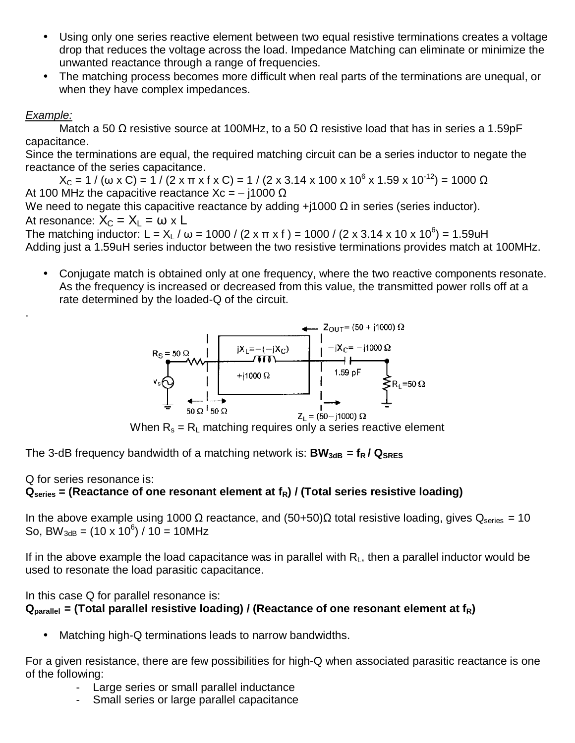- Using only one series reactive element between two equal resistive terminations creates a voltage drop that reduces the voltage across the load. Impedance Matching can eliminate or minimize the unwanted reactance through a range of frequencies.
- The matching process becomes more difficult when real parts of the terminations are unequal, or when they have complex impedances.

## *Example:*

.

Match a 50  $\Omega$  resistive source at 100MHz, to a 50  $\Omega$  resistive load that has in series a 1.59pF capacitance.

Since the terminations are equal, the required matching circuit can be a series inductor to negate the reactance of the series capacitance.

 $X<sub>C</sub> = 1$  / (ω x C) = 1 / (2 x π x f x C) = 1 / (2 x 3.14 x 100 x 10<sup>6</sup> x 1.59 x 10<sup>-12</sup>) = 1000 Ω At 100 MHz the capacitive reactance  $Xc = -11000 \Omega$ 

We need to negate this capacitive reactance by adding +j1000  $\Omega$  in series (series inductor). At resonance:  $X_C = X_L = \omega \times L$ 

The matching inductor: L = X<sub>L</sub> / ω = 1000 / (2 x π x f ) = 1000 / (2 x 3.14 x 10 x 10<sup>6</sup>) = 1.59uH Adding just a 1.59uH series inductor between the two resistive terminations provides match at 100MHz.

• Conjugate match is obtained only at one frequency, where the two reactive components resonate. As the frequency is increased or decreased from this value, the transmitted power rolls off at a rate determined by the loaded-Q of the circuit.



When  $R_s = R_l$  matching requires only a series reactive element

The 3-dB frequency bandwidth of a matching network is:  $BW_{3dB} = f_R / Q_{SRES}$ 

## Q for series resonance is:

## **Qseries = (Reactance of one resonant element at fR) / (Total series resistive loading)**

In the above example using 1000 Ω reactance, and (50+50)Ω total resistive loading, gives Q<sub>series</sub> = 10 So, BW<sub>3dB</sub> =  $(10 \times 10^6)$  / 10 = 10MHz

If in the above example the load capacitance was in parallel with  $R_L$ , then a parallel inductor would be used to resonate the load parasitic capacitance.

In this case Q for parallel resonance is:

**Qparallel = (Total parallel resistive loading) / (Reactance of one resonant element at fR)** 

• Matching high-Q terminations leads to narrow bandwidths.

For a given resistance, there are few possibilities for high-Q when associated parasitic reactance is one of the following:

- Large series or small parallel inductance
- Small series or large parallel capacitance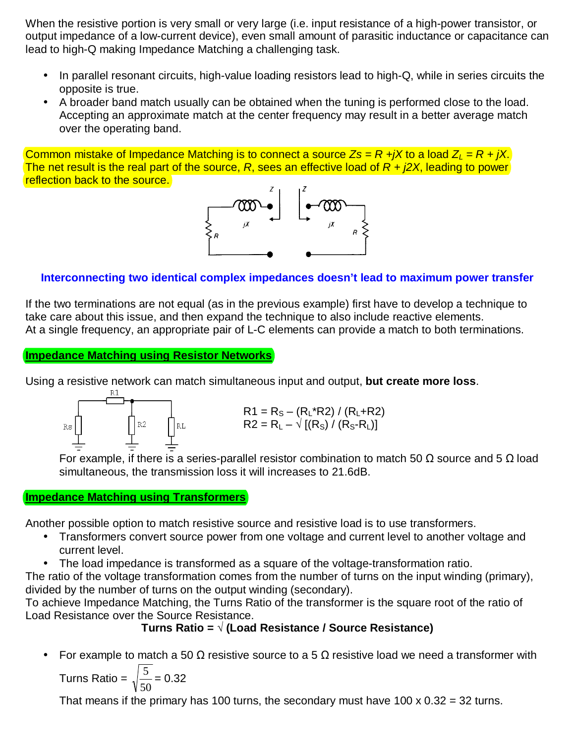When the resistive portion is very small or very large (i.e. input resistance of a high-power transistor, or output impedance of a low-current device), even small amount of parasitic inductance or capacitance can lead to high-Q making Impedance Matching a challenging task.

- In parallel resonant circuits, high-value loading resistors lead to high-Q, while in series circuits the opposite is true.
- A broader band match usually can be obtained when the tuning is performed close to the load. Accepting an approximate match at the center frequency may result in a better average match over the operating band.

Common mistake of Impedance Matching is to connect a source *Zs = R +jX* to a load *Z<sup>L</sup> = R + jX*. The net result is the real part of the source, *R*, sees an effective load of *R + j2X*, leading to power reflection back to the source.



## **Interconnecting two identical complex impedances doesn't lead to maximum power transfer**

If the two terminations are not equal (as in the previous example) first have to develop a technique to take care about this issue, and then expand the technique to also include reactive elements. At a single frequency, an appropriate pair of L-C elements can provide a match to both terminations.

**Impedance Matching using Resistor Networks**

Using a resistive network can match simultaneous input and output, **but create more loss**.



 $R1 = R<sub>S</sub> - (R<sub>L</sub><sup>*</sup>R2) / (R<sub>L</sub>+R2)$  $R2 = R_L - \sqrt{(R_S)/ (R_S - R_L)}$ 

For example, if there is a series-parallel resistor combination to match 50  $\Omega$  source and 5  $\Omega$  load simultaneous, the transmission loss it will increases to 21.6dB.

#### **Impedance Matching using Transformers**

Another possible option to match resistive source and resistive load is to use transformers.

- Transformers convert source power from one voltage and current level to another voltage and current level.
- The load impedance is transformed as a square of the voltage-transformation ratio.

The ratio of the voltage transformation comes from the number of turns on the input winding (primary), divided by the number of turns on the output winding (secondary).

To achieve Impedance Matching, the Turns Ratio of the transformer is the square root of the ratio of Load Resistance over the Source Resistance.

## **Turns Ratio = √ (Load Resistance / Source Resistance)**

For example to match a 50 Ω resistive source to a 5 Ω resistive load we need a transformer with

Turns Ratio = 
$$
\sqrt{\frac{5}{50}} = 0.32
$$

That means if the primary has 100 turns, the secondary must have 100 x  $0.32 = 32$  turns.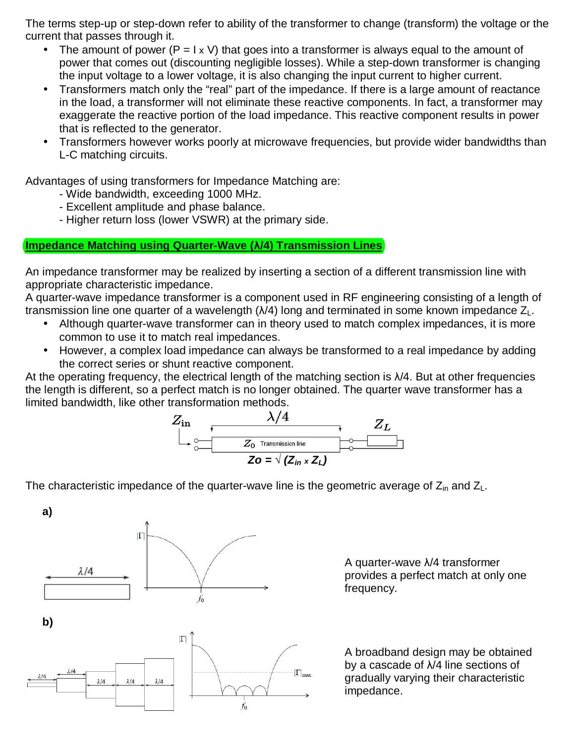The terms step-up or step-down refer to ability of the transformer to change (transform) the voltage or the current that passes through it.

- The amount of power ( $P = I \times V$ ) that goes into a transformer is always equal to the amount of power that comes out (discounting negligible losses). While a step-down transformer is changing the input voltage to a lower voltage, it is also changing the input current to higher current.
- Transformers match only the "real" part of the impedance. If there is a large amount of reactance in the load, a transformer will not eliminate these reactive components. In fact, a transformer may exaggerate the reactive portion of the load impedance. This reactive component results in power that is reflected to the generator.
- Transformers however works poorly at microwave frequencies, but provide wider bandwidths than L-C matching circuits.

Advantages of using transformers for Impedance Matching are:

- Wide bandwidth, exceeding 1000 MHz.
- Excellent amplitude and phase balance.
- Higher return loss (lower VSWR) at the primary side.

## **Impedance Matching using Quarter-Wave (λ/4) Transmission Lines**

An impedance transformer may be realized by inserting a section of a different transmission line with appropriate characteristic impedance.

A quarter-wave impedance transformer is a component used in RF engineering consisting of a length of transmission line one quarter of a wavelength  $(\lambda/4)$  long and terminated in some known impedance  $Z_L$ .

- Although quarter-wave transformer can in theory used to match complex impedances, it is more common to use it to match real impedances.
- However, a complex load impedance can always be transformed to a real impedance by adding the correct series or shunt reactive component.

At the operating frequency, the electrical length of the matching section is  $\lambda/4$ . But at other frequencies the length is different, so a perfect match is no longer obtained. The quarter wave transformer has a limited bandwidth, like other transformation methods.



The characteristic impedance of the quarter-wave line is the geometric average of  $Z_{\text{in}}$  and  $Z_{\text{L}}$ .



A quarter-wave λ/4 transformer provides a perfect match at only one frequency.

A broadband design may be obtained by a cascade of λ/4 line sections of gradually varying their characteristic impedance.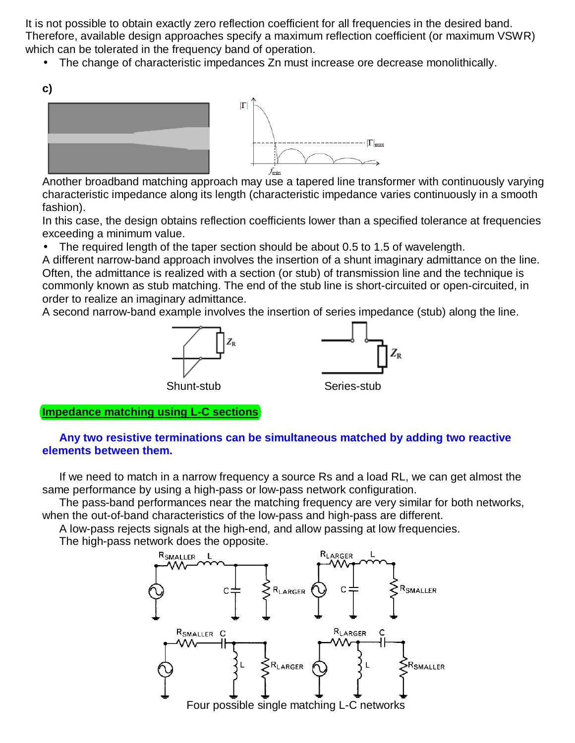It is not possible to obtain exactly zero reflection coefficient for all frequencies in the desired band. Therefore, available design approaches specify a maximum reflection coefficient (or maximum VSWR) which can be tolerated in the frequency band of operation.

• The change of characteristic impedances Zn must increase ore decrease monolithically.

**c)** 



Another broadband matching approach may use a tapered line transformer with continuously varying characteristic impedance along its length (characteristic impedance varies continuously in a smooth fashion).

In this case, the design obtains reflection coefficients lower than a specified tolerance at frequencies exceeding a minimum value.

• The required length of the taper section should be about 0.5 to 1.5 of wavelength.

A different narrow-band approach involves the insertion of a shunt imaginary admittance on the line. Often, the admittance is realized with a section (or stub) of transmission line and the technique is commonly known as stub matching. The end of the stub line is short-circuited or open-circuited, in order to realize an imaginary admittance.

A second narrow-band example involves the insertion of series impedance (stub) along the line.





**Impedance matching using L-C sections**

## **Any two resistive terminations can be simultaneous matched by adding two reactive elements between them.**

If we need to match in a narrow frequency a source Rs and a load RL, we can get almost the same performance by using a high-pass or low-pass network configuration.

The pass-band performances near the matching frequency are very similar for both networks, when the out-of-band characteristics of the low-pass and high-pass are different.

A low-pass rejects signals at the high-end, and allow passing at low frequencies.

The high-pass network does the opposite.

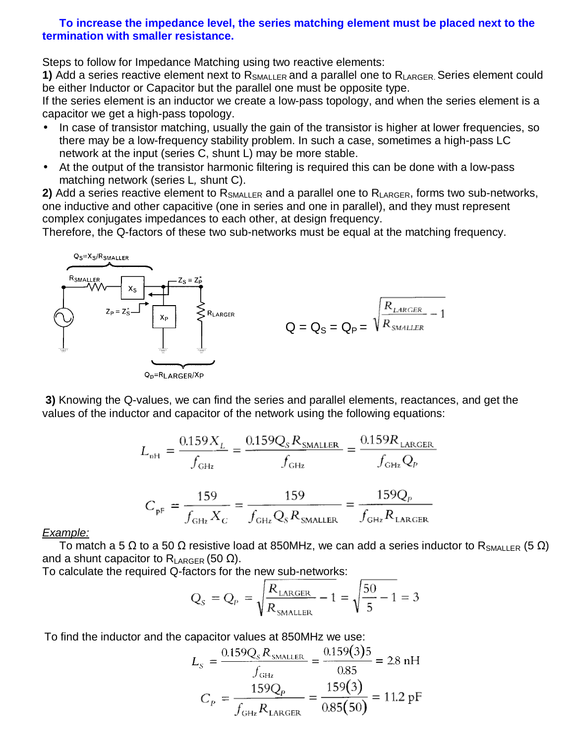#### **To increase the impedance level, the series matching element must be placed next to the termination with smaller resistance.**

Steps to follow for Impedance Matching using two reactive elements:

**1)** Add a series reactive element next to  $R_{SMALLER}$  and a parallel one to  $R_{LARGE}$ . Series element could be either Inductor or Capacitor but the parallel one must be opposite type.

If the series element is an inductor we create a low-pass topology, and when the series element is a capacitor we get a high-pass topology.

- In case of transistor matching, usually the gain of the transistor is higher at lower frequencies, so there may be a low-frequency stability problem. In such a case, sometimes a high-pass LC network at the input (series C, shunt L) may be more stable.
- At the output of the transistor harmonic filtering is required this can be done with a low-pass matching network (series L*,* shunt C).

2) Add a series reactive element to R<sub>SMALLER</sub> and a parallel one to R<sub>LARGER</sub>, forms two sub-networks, one inductive and other capacitive (one in series and one in parallel), and they must represent complex conjugates impedances to each other, at design frequency.

Therefore, the Q-factors of these two sub-networks must be equal at the matching frequency.



**3)** Knowing the Q-values, we can find the series and parallel elements, reactances, and get the values of the inductor and capacitor of the network using the following equations:

$$
L_{\text{nH}} = \frac{0.159 X_L}{f_{\text{GHz}}} = \frac{0.159 Q_s R_{\text{SMALLER}}}{f_{\text{GHz}}} = \frac{0.159 R_{\text{LARGE}}}{f_{\text{GHz}} Q_p}
$$

$$
C_{\text{pF}} = \frac{159}{f_{\text{GHz}} X_c} = \frac{159}{f_{\text{GHz}} Q_s R_{\text{SMALLER}}} = \frac{159 Q_p}{f_{\text{GHz}} R_{\text{LARGE}}}
$$

*Example:* 

To match a 5  $\Omega$  to a 50  $\Omega$  resistive load at 850MHz, we can add a series inductor to R<sub>SMALLER</sub> (5  $\Omega$ ) and a shunt capacitor to  $R_{LARGE}$  (50  $\Omega$ ).

To calculate the required Q-factors for the new sub-networks:

$$
Q_s = Q_p = \sqrt{\frac{R_{\text{LARGE}}}{R_{\text{SMALLER}}}} - 1 = \sqrt{\frac{50}{5} - 1} = 3
$$

To find the inductor and the capacitor values at 850MHz we use:

$$
L_{s} = \frac{0.159Q_{s}R_{s_{\text{SMALLER}}}}{f_{\text{GHz}}} = \frac{0.159(3)5}{0.85} = 2.8 \text{ nH}
$$

$$
C_{p} = \frac{159Q_{p}}{f_{\text{GHz}}R_{\text{LARGER}}} = \frac{159(3)}{0.85(50)} = 11.2 \text{ pF}
$$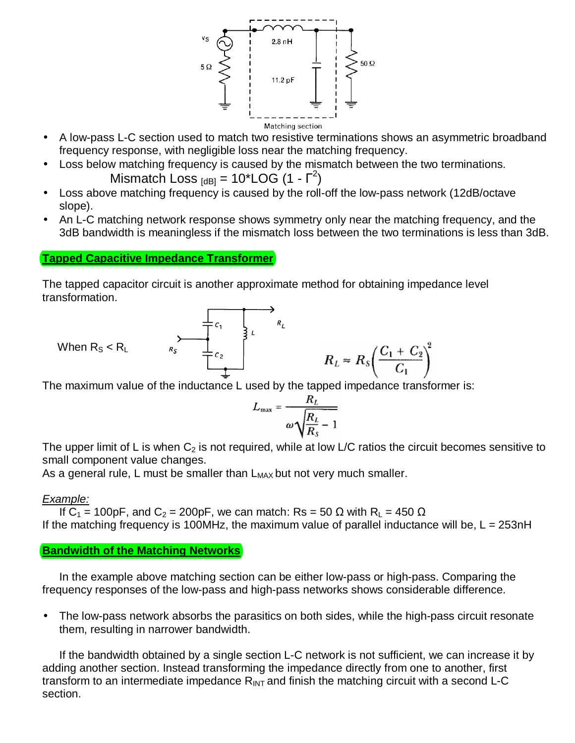

- A low-pass L-C section used to match two resistive terminations shows an asymmetric broadband frequency response, with negligible loss near the matching frequency.
- Loss below matching frequency is caused by the mismatch between the two terminations. Mismatch Loss  $_{[dB]} = 10^{\circ}$ LOG (1 -  $\Gamma^2$ )
- Loss above matching frequency is caused by the roll-off the low-pass network (12dB/octave slope).
- An L-C matching network response shows symmetry only near the matching frequency, and the 3dB bandwidth is meaningless if the mismatch loss between the two terminations is less than 3dB.

#### **Tapped Capacitive Impedance Transformer**

The tapped capacitor circuit is another approximate method for obtaining impedance level transformation.

When 
$$
R_s < R_L
$$
  $R_s$   $R_t$   $R_L \approx R_s \left( \frac{C_1 + C_2}{C_1} \right)^2$ 

The maximum value of the inductance L used by the tapped impedance transformer is:

$$
L_{\max} = \frac{R_L}{\omega \sqrt{\frac{R_L}{R_S} - 1}}
$$

The upper limit of L is when  $C_2$  is not required, while at low L/C ratios the circuit becomes sensitive to small component value changes.

As a general rule, L must be smaller than  $L_{MAX}$  but not very much smaller.

## *Example:*

If  $C_1$  = 100pF, and  $C_2$  = 200pF, we can match: Rs = 50  $\Omega$  with R<sub>L</sub> = 450  $\Omega$ If the matching frequency is 100MHz, the maximum value of parallel inductance will be,  $L = 253nH$ 

## **Bandwidth of the Matching Networks**

In the example above matching section can be either low-pass or high-pass. Comparing the frequency responses of the low-pass and high-pass networks shows considerable difference.

• The low-pass network absorbs the parasitics on both sides, while the high-pass circuit resonate them, resulting in narrower bandwidth.

If the bandwidth obtained by a single section L-C network is not sufficient, we can increase it by adding another section. Instead transforming the impedance directly from one to another, first transform to an intermediate impedance  $R_{INT}$  and finish the matching circuit with a second L-C section.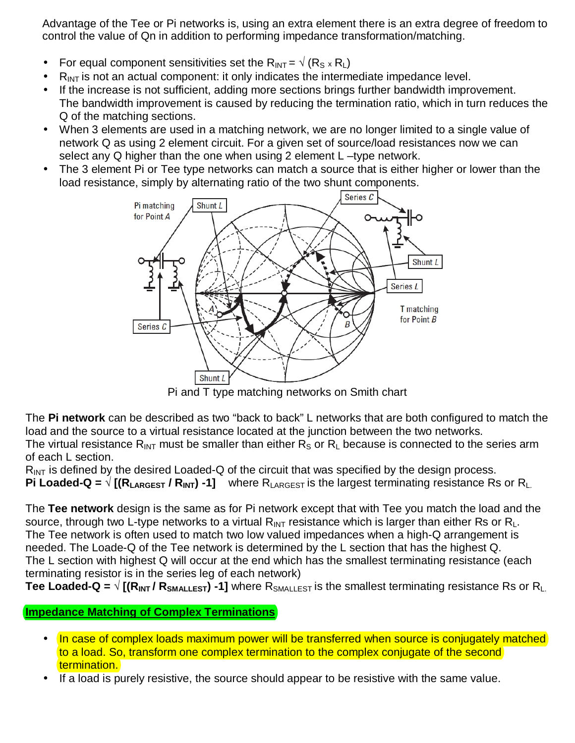Advantage of the Tee or Pi networks is, using an extra element there is an extra degree of freedom to control the value of Qn in addition to performing impedance transformation/matching.

- For equal component sensitivities set the  $R_{INT} = \sqrt{(R_S \times R_L)}$
- $\bullet$   $R_{INT}$  is not an actual component: it only indicates the intermediate impedance level.
- If the increase is not sufficient, adding more sections brings further bandwidth improvement. The bandwidth improvement is caused by reducing the termination ratio, which in turn reduces the Q of the matching sections.
- When 3 elements are used in a matching network, we are no longer limited to a single value of network Q as using 2 element circuit. For a given set of source/load resistances now we can select any Q higher than the one when using 2 element L –type network.
- The 3 element Pi or Tee type networks can match a source that is either higher or lower than the load resistance, simply by alternating ratio of the two shunt components.



Pi and T type matching networks on Smith chart

The **Pi network** can be described as two "back to back" L networks that are both configured to match the load and the source to a virtual resistance located at the junction between the two networks. The virtual resistance  $R_{INT}$  must be smaller than either  $R_S$  or  $R_L$  because is connected to the series arm of each L section.

 $R_{INT}$  is defined by the desired Loaded-Q of the circuit that was specified by the design process. **Pi Loaded-Q =**  $\sqrt{\left[(R_{\text{LARGE}}/R_{\text{INT}}) - 1\right]}$  **where**  $R_{\text{LARGE}}/R_{\text{INT}}$  **is the largest terminating resistance Rs or**  $R_{\text{L}}$ **.** 

The **Tee network** design is the same as for Pi network except that with Tee you match the load and the source, through two L-type networks to a virtual  $R_{\text{INT}}$  resistance which is larger than either Rs or  $R_{\text{L}}$ . The Tee network is often used to match two low valued impedances when a high-Q arrangement is needed. The Loade-Q of the Tee network is determined by the L section that has the highest Q. The L section with highest Q will occur at the end which has the smallest terminating resistance (each terminating resistor is in the series leg of each network)

**Tee Loaded-Q =**  $\sqrt{(R_{INT} / R_{SMALLEST})}$  **-1] where**  $R_{SMALLEST}$  **is the smallest terminating resistance Rs or**  $R_L$ **.** 

## **Impedance Matching of Complex Terminations**

- In case of complex loads maximum power will be transferred when source is conjugately matched to a load. So, transform one complex termination to the complex conjugate of the second termination.
- If a load is purely resistive, the source should appear to be resistive with the same value.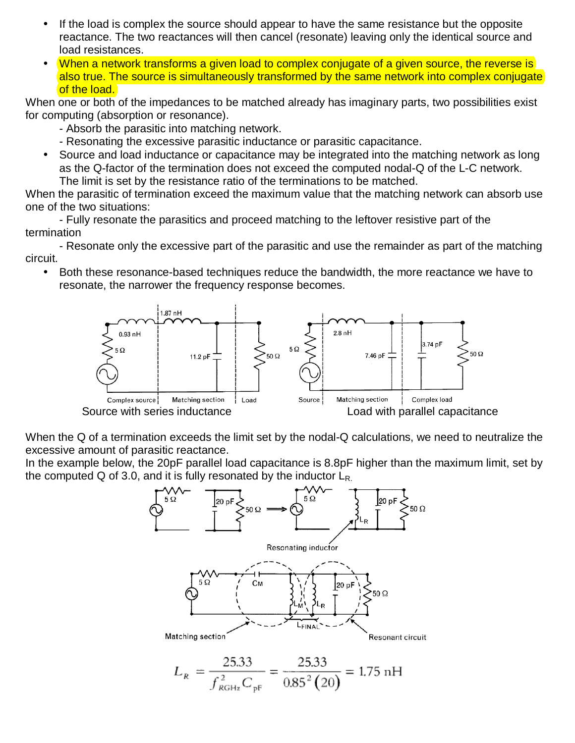- If the load is complex the source should appear to have the same resistance but the opposite reactance. The two reactances will then cancel (resonate) leaving only the identical source and load resistances.
- When a network transforms a given load to complex conjugate of a given source, the reverse is also true. The source is simultaneously transformed by the same network into complex conjugate of the load.

When one or both of the impedances to be matched already has imaginary parts, two possibilities exist for computing (absorption or resonance).

- Absorb the parasitic into matching network.
- Resonating the excessive parasitic inductance or parasitic capacitance.
- Source and load inductance or capacitance may be integrated into the matching network as long as the Q-factor of the termination does not exceed the computed nodal-Q of the L-C network. The limit is set by the resistance ratio of the terminations to be matched.

When the parasitic of termination exceed the maximum value that the matching network can absorb use one of the two situations:

- Fully resonate the parasitics and proceed matching to the leftover resistive part of the termination

- Resonate only the excessive part of the parasitic and use the remainder as part of the matching circuit.

• Both these resonance-based techniques reduce the bandwidth, the more reactance we have to resonate, the narrower the frequency response becomes.



When the Q of a termination exceeds the limit set by the nodal-Q calculations, we need to neutralize the excessive amount of parasitic reactance.

In the example below, the 20pF parallel load capacitance is 8.8pF higher than the maximum limit, set by the computed Q of 3.0, and it is fully resonated by the inductor  $L_{R}$ .

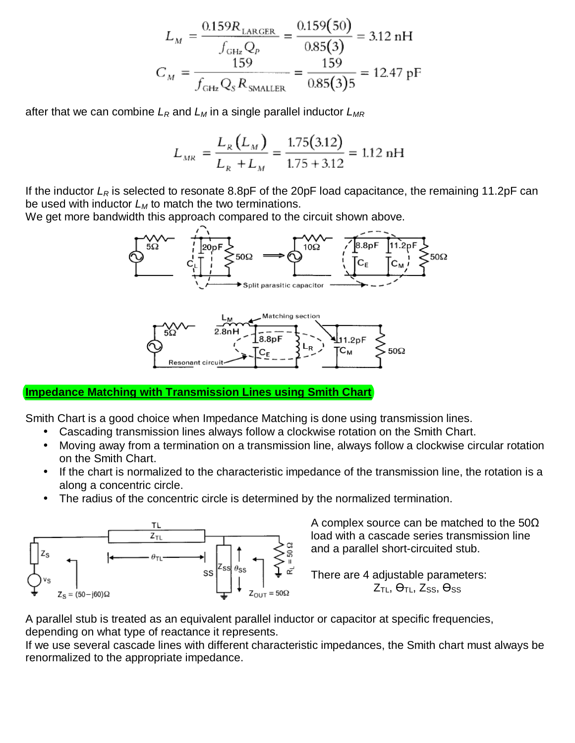$$
L_M = \frac{0.159R_{\text{LARGE}}}{f_{\text{GHz}}Q_p} = \frac{0.159(50)}{0.85(3)} = 3.12 \text{ nH}
$$

$$
C_M = \frac{159}{f_{\text{GHz}}Q_sR_{\text{SMALLER}}} = \frac{159}{0.85(3)5} = 12.47 \text{ pF}
$$

after that we can combine  $L_R$  and  $L_M$  in a single parallel inductor  $L_{MR}$ 

$$
L_{_{MR}} = \frac{L_{_R}(L_{_M})}{L_{_R} + L_{_M}} = \frac{1.75(3.12)}{1.75 + 3.12} = 1.12 \text{ nH}
$$

If the inductor  $L_R$  is selected to resonate 8.8pF of the 20pF load capacitance, the remaining 11.2pF can be used with inductor *L<sup>M</sup>* to match the two terminations.

We get more bandwidth this approach compared to the circuit shown above.





**Impedance Matching with Transmission Lines using Smith Chart**

Smith Chart is a good choice when Impedance Matching is done using transmission lines.

- Cascading transmission lines always follow a clockwise rotation on the Smith Chart.
- Moving away from a termination on a transmission line, always follow a clockwise circular rotation on the Smith Chart.
- If the chart is normalized to the characteristic impedance of the transmission line, the rotation is a along a concentric circle.
- The radius of the concentric circle is determined by the normalized termination.



A complex source can be matched to the  $50\Omega$ load with a cascade series transmission line and a parallel short-circuited stub.

There are 4 adjustable parameters:  $Z_{\text{TL}}$ ,  $\Theta_{\text{TL}}$ ,  $Z_{\text{SS}}$ ,  $\Theta_{\text{SS}}$ 

A parallel stub is treated as an equivalent parallel inductor or capacitor at specific frequencies, depending on what type of reactance it represents.

If we use several cascade lines with different characteristic impedances, the Smith chart must always be renormalized to the appropriate impedance.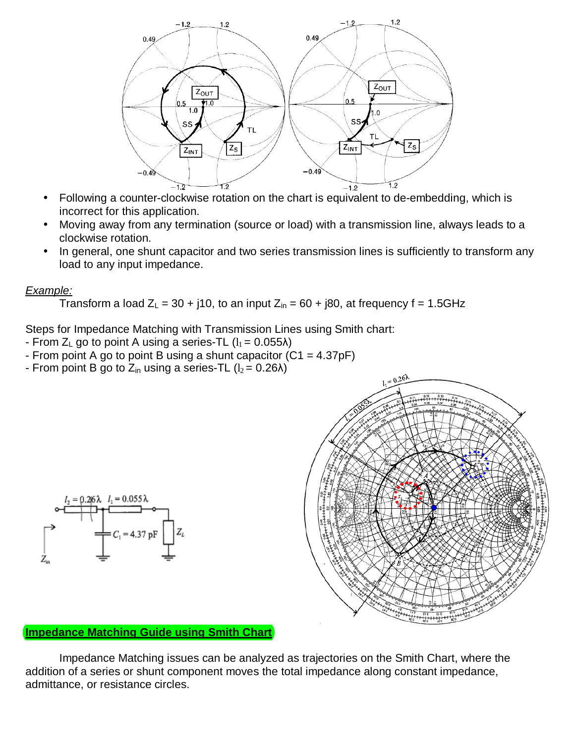

- Following a counter-clockwise rotation on the chart is equivalent to de-embedding, which is incorrect for this application.
- Moving away from any termination (source or load) with a transmission line, always leads to a clockwise rotation.
- In general, one shunt capacitor and two series transmission lines is sufficiently to transform any load to any input impedance.

#### *Example:*

Transform a load  $Z_L = 30 + j10$ , to an input  $Z_{in} = 60 + j80$ , at frequency f = 1.5GHz

Steps for Impedance Matching with Transmission Lines using Smith chart:

- From  $Z_L$  go to point A using a series-TL  $(l_1 = 0.055\lambda)$
- From point A go to point B using a shunt capacitor  $(C1 = 4.37pF)$
- From point B go to  $Z_{in}$  using a series-TL  $(l_2 = 0.26\lambda)$





#### l, **Impedance Matching Guide using Smith Chart**

Impedance Matching issues can be analyzed as trajectories on the Smith Chart, where the addition of a series or shunt component moves the total impedance along constant impedance, admittance, or resistance circles.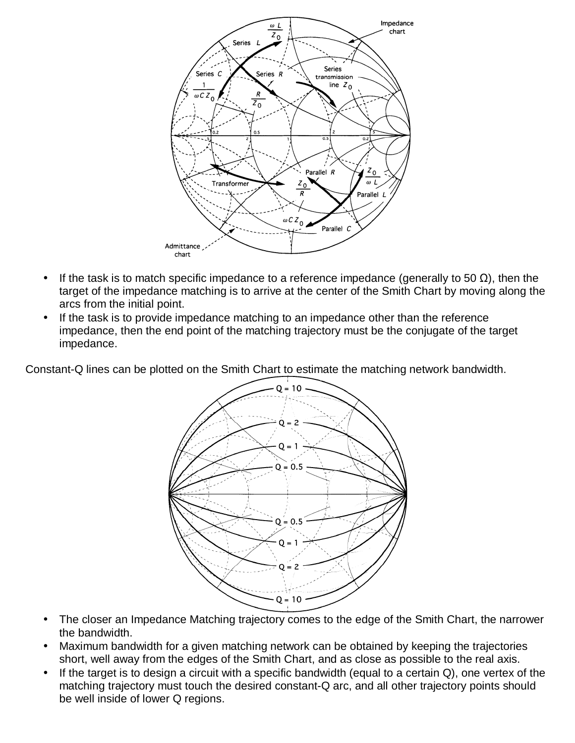

- If the task is to match specific impedance to a reference impedance (generally to 50  $\Omega$ ), then the target of the impedance matching is to arrive at the center of the Smith Chart by moving along the arcs from the initial point.
- If the task is to provide impedance matching to an impedance other than the reference impedance, then the end point of the matching trajectory must be the conjugate of the target impedance.

Constant-Q lines can be plotted on the Smith Chart to estimate the matching network bandwidth.



- The closer an Impedance Matching trajectory comes to the edge of the Smith Chart, the narrower the bandwidth.
- Maximum bandwidth for a given matching network can be obtained by keeping the trajectories short, well away from the edges of the Smith Chart, and as close as possible to the real axis.
- If the target is to design a circuit with a specific bandwidth (equal to a certain Q), one vertex of the matching trajectory must touch the desired constant-Q arc, and all other trajectory points should be well inside of lower Q regions.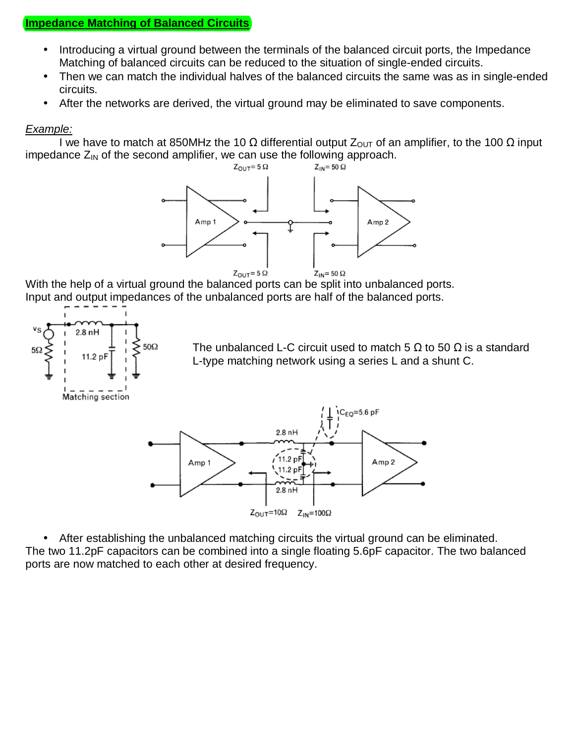## **Impedance Matching of Balanced Circuits**

- Introducing a virtual ground between the terminals of the balanced circuit ports, the Impedance Matching of balanced circuits can be reduced to the situation of single-ended circuits.
- Then we can match the individual halves of the balanced circuits the same was as in single-ended circuits.
- After the networks are derived, the virtual ground may be eliminated to save components.

#### *Example:*

I we have to match at 850MHz the 10 Ω differential output  $Z_{\text{OUT}}$  of an amplifier, to the 100 Ω input impedance  $Z_{IN}$  of the second amplifier, we can use the following approach.<br> $Z_{OUT} = 5 \Omega$ 



With the help of a virtual ground the balanced ports can be split into unbalanced ports. Input and output impedances of the unbalanced ports are half of the balanced ports.



The unbalanced L-C circuit used to match 5  $\Omega$  to 50  $\Omega$  is a standard L-type matching network using a series L and a shunt C.



• After establishing the unbalanced matching circuits the virtual ground can be eliminated. The two 11.2pF capacitors can be combined into a single floating 5.6pF capacitor. The two balanced ports are now matched to each other at desired frequency.